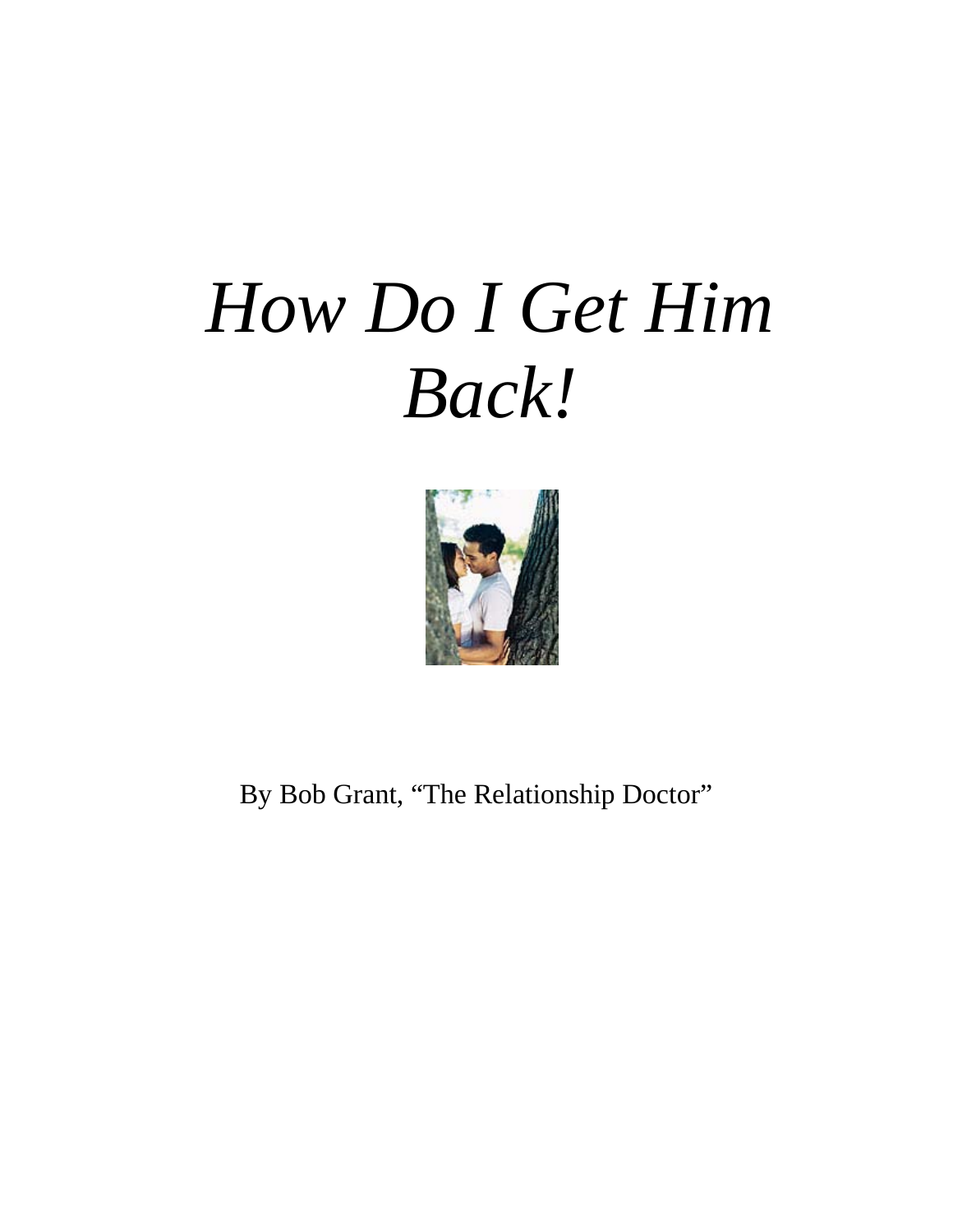## *How Do I Get Him Back!*



By Bob Grant, "The Relationship Doctor"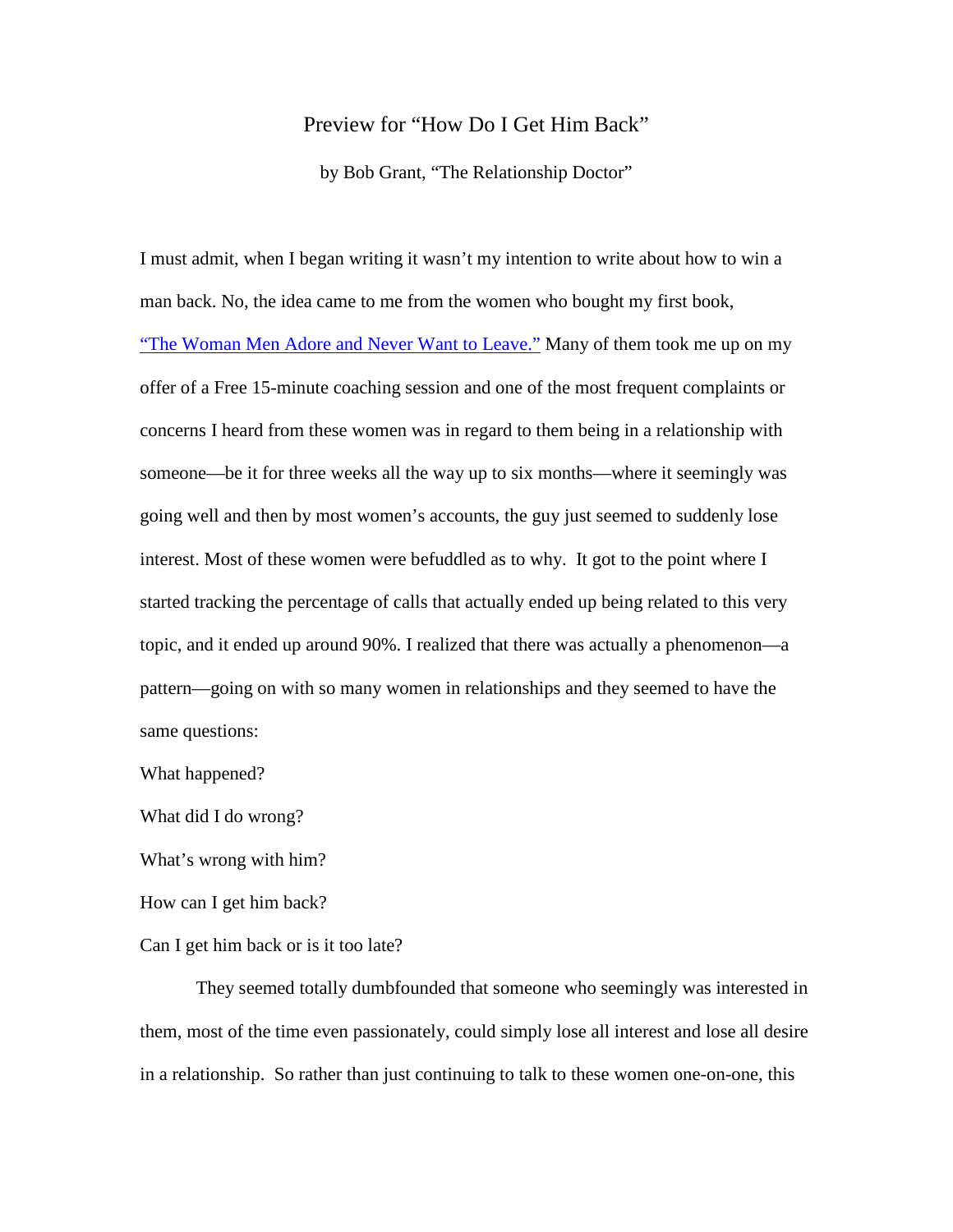## Preview for "How Do I Get Him Back"

by Bob Grant, "The Relationship Doctor"

I must admit, when I began writing it wasn't my intention to write about how to win a man back. No, the idea came to me from the women who bought my first book, ["The Woman Men Adore and Never Want to Leave."](http://helenahart.liebe17.hop.clickbank.net/) Many of them took me up on my offer of a Free 15-minute coaching session and one of the most frequent complaints or concerns I heard from these women was in regard to them being in a relationship with someone––be it for three weeks all the way up to six months––where it seemingly was going well and then by most women's accounts, the guy just seemed to suddenly lose interest. Most of these women were befuddled as to why. It got to the point where I started tracking the percentage of calls that actually ended up being related to this very topic, and it ended up around 90%. I realized that there was actually a phenomenon––a pattern––going on with so many women in relationships and they seemed to have the same questions:

What happened?

What did I do wrong?

What's wrong with him?

How can I get him back?

Can I get him back or is it too late?

They seemed totally dumbfounded that someone who seemingly was interested in them, most of the time even passionately, could simply lose all interest and lose all desire in a relationship. So rather than just continuing to talk to these women one-on-one, this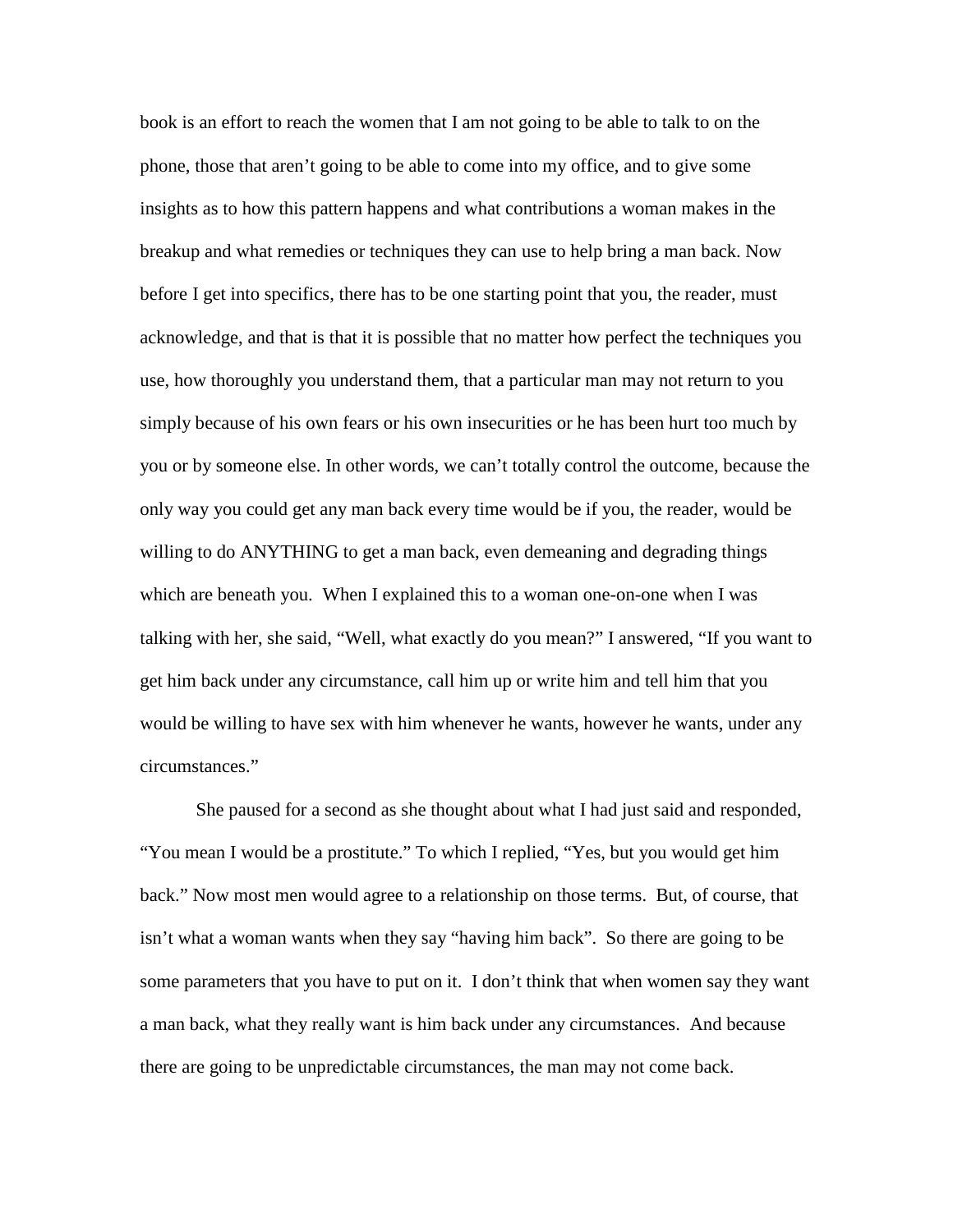book is an effort to reach the women that I am not going to be able to talk to on the phone, those that aren't going to be able to come into my office, and to give some insights as to how this pattern happens and what contributions a woman makes in the breakup and what remedies or techniques they can use to help bring a man back. Now before I get into specifics, there has to be one starting point that you, the reader, must acknowledge, and that is that it is possible that no matter how perfect the techniques you use, how thoroughly you understand them, that a particular man may not return to you simply because of his own fears or his own insecurities or he has been hurt too much by you or by someone else. In other words, we can't totally control the outcome, because the only way you could get any man back every time would be if you, the reader, would be willing to do ANYTHING to get a man back, even demeaning and degrading things which are beneath you. When I explained this to a woman one-on-one when I was talking with her, she said, "Well, what exactly do you mean?" I answered, "If you want to get him back under any circumstance, call him up or write him and tell him that you would be willing to have sex with him whenever he wants, however he wants, under any circumstances."

She paused for a second as she thought about what I had just said and responded, "You mean I would be a prostitute." To which I replied, "Yes, but you would get him back." Now most men would agree to a relationship on those terms. But, of course, that isn't what a woman wants when they say "having him back". So there are going to be some parameters that you have to put on it. I don't think that when women say they want a man back, what they really want is him back under any circumstances. And because there are going to be unpredictable circumstances, the man may not come back.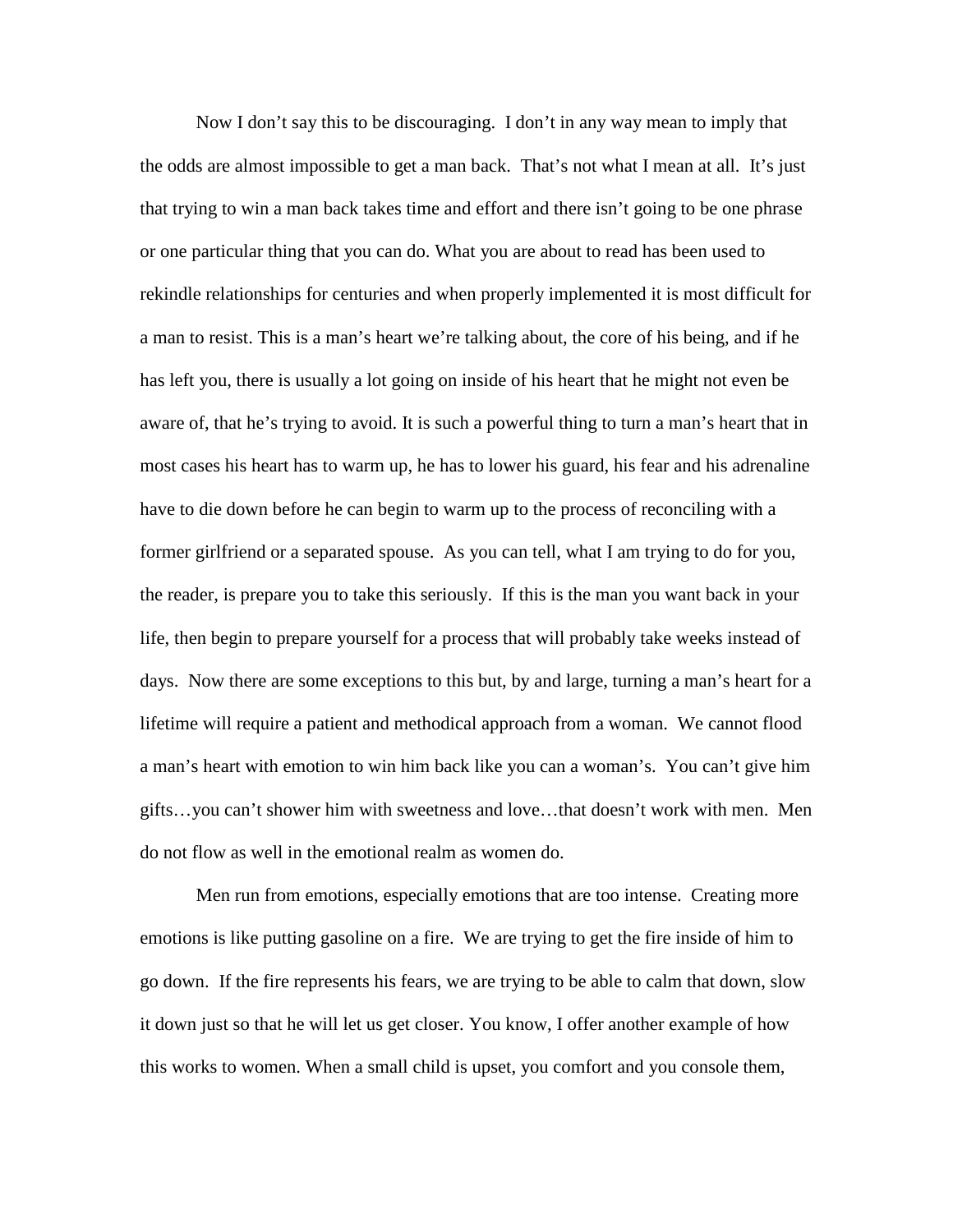Now I don't say this to be discouraging. I don't in any way mean to imply that the odds are almost impossible to get a man back. That's not what I mean at all. It's just that trying to win a man back takes time and effort and there isn't going to be one phrase or one particular thing that you can do. What you are about to read has been used to rekindle relationships for centuries and when properly implemented it is most difficult for a man to resist. This is a man's heart we're talking about, the core of his being, and if he has left you, there is usually a lot going on inside of his heart that he might not even be aware of, that he's trying to avoid. It is such a powerful thing to turn a man's heart that in most cases his heart has to warm up, he has to lower his guard, his fear and his adrenaline have to die down before he can begin to warm up to the process of reconciling with a former girlfriend or a separated spouse. As you can tell, what I am trying to do for you, the reader, is prepare you to take this seriously. If this is the man you want back in your life, then begin to prepare yourself for a process that will probably take weeks instead of days. Now there are some exceptions to this but, by and large, turning a man's heart for a lifetime will require a patient and methodical approach from a woman. We cannot flood a man's heart with emotion to win him back like you can a woman's. You can't give him gifts…you can't shower him with sweetness and love…that doesn't work with men. Men do not flow as well in the emotional realm as women do.

Men run from emotions, especially emotions that are too intense. Creating more emotions is like putting gasoline on a fire. We are trying to get the fire inside of him to go down. If the fire represents his fears, we are trying to be able to calm that down, slow it down just so that he will let us get closer. You know, I offer another example of how this works to women. When a small child is upset, you comfort and you console them,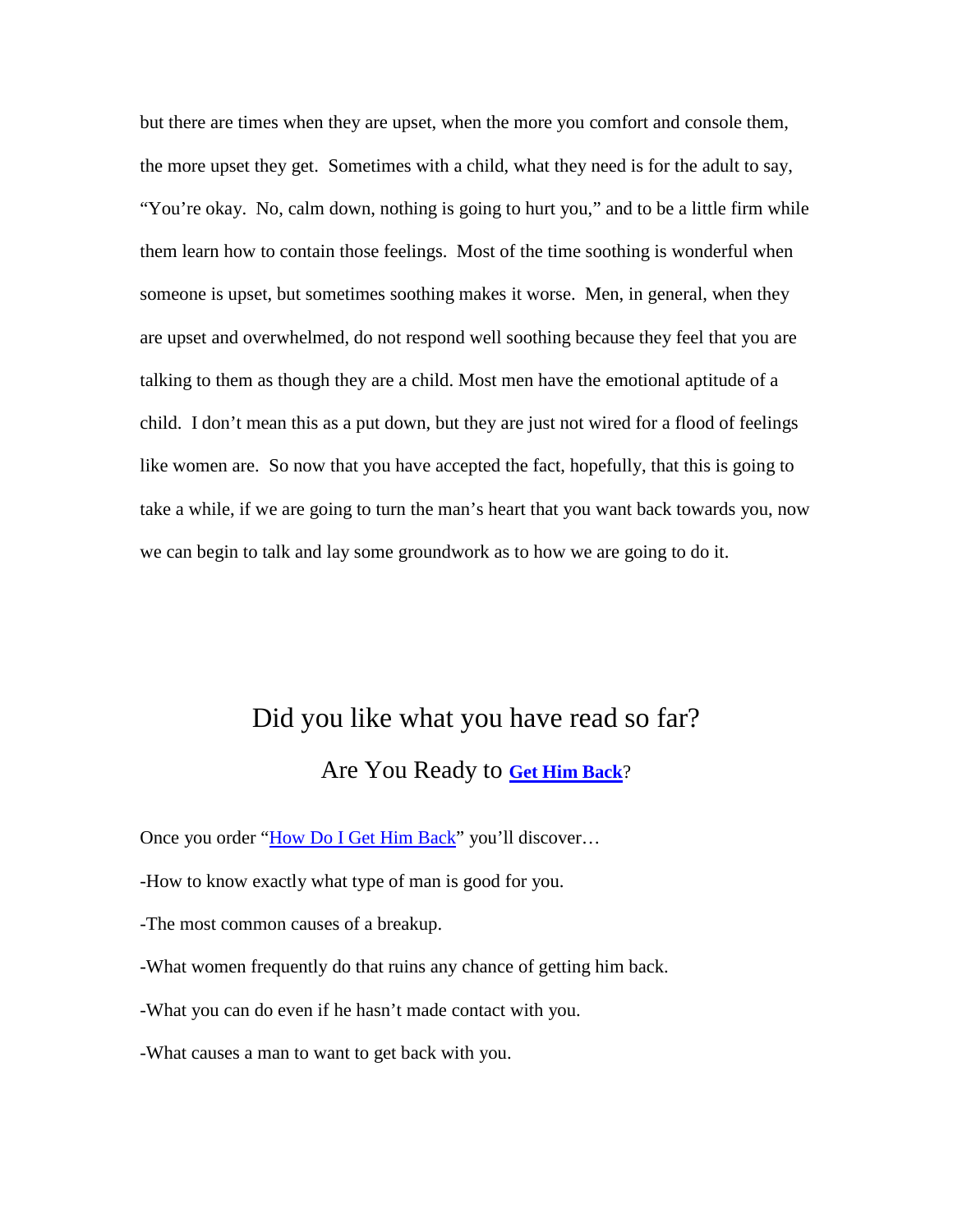but there are times when they are upset, when the more you comfort and console them, the more upset they get. Sometimes with a child, what they need is for the adult to say, "You're okay. No, calm down, nothing is going to hurt you," and to be a little firm while them learn how to contain those feelings. Most of the time soothing is wonderful when someone is upset, but sometimes soothing makes it worse. Men, in general, when they are upset and overwhelmed, do not respond well soothing because they feel that you are talking to them as though they are a child. Most men have the emotional aptitude of a child. I don't mean this as a put down, but they are just not wired for a flood of feelings like women are. So now that you have accepted the fact, hopefully, that this is going to take a while, if we are going to turn the man's heart that you want back towards you, now we can begin to talk and lay some groundwork as to how we are going to do it.

## Did you like what you have read so far?

## Are You Ready to **[Get Him Back](http://helenahart.pug17.hop.clickbank.net/)**?

Once you order ["How Do I Get Him Back"](http://helenahart.pug17.hop.clickbank.net/) you'll discover...

-How to know exactly what type of man is good for you.

-The most common causes of a breakup.

-What women frequently do that ruins any chance of getting him back.

-What you can do even if he hasn't made contact with you.

-What causes a man to want to get back with you.